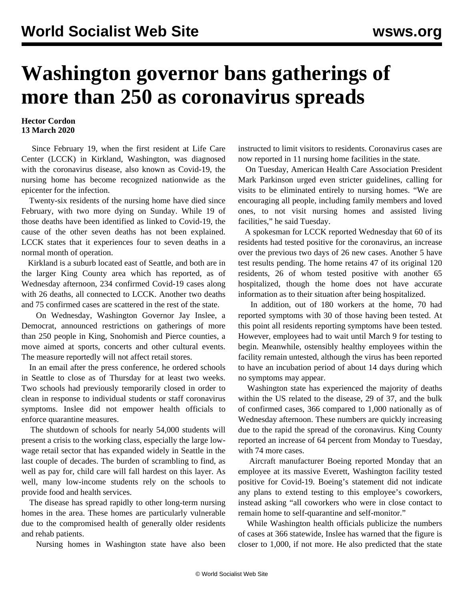## **Washington governor bans gatherings of more than 250 as coronavirus spreads**

## **Hector Cordon 13 March 2020**

 Since February 19, when the first resident at Life Care Center (LCCK) in Kirkland, Washington, was diagnosed with the coronavirus disease, also known as Covid-19, the nursing home has become recognized nationwide as the epicenter for the infection.

 Twenty-six residents of the nursing home have died since February, with two more dying on Sunday. While 19 of those deaths have been identified as linked to Covid-19, the cause of the other seven deaths has not been explained. LCCK states that it experiences four to seven deaths in a normal month of operation.

 Kirkland is a suburb located east of Seattle, and both are in the larger King County area which has reported, as of Wednesday afternoon, 234 confirmed Covid-19 cases along with 26 deaths, all connected to LCCK. Another two deaths and 75 confirmed cases are scattered in the rest of the state.

 On Wednesday, Washington Governor Jay Inslee, a Democrat, announced restrictions on gatherings of more than 250 people in King, Snohomish and Pierce counties, a move aimed at sports, concerts and other cultural events. The measure reportedly will not affect retail stores.

 In an email after the press conference, he ordered schools in Seattle to close as of Thursday for at least two weeks. Two schools had previously temporarily closed in order to clean in response to individual students or staff coronavirus symptoms. Inslee did not empower health officials to enforce quarantine measures.

 The shutdown of schools for nearly 54,000 students will present a crisis to the working class, especially the large lowwage retail sector that has expanded widely in Seattle in the last couple of decades. The burden of scrambling to find, as well as pay for, child care will fall hardest on this layer. As well, many low-income students rely on the schools to provide food and health services.

 The disease has spread rapidly to other long-term nursing homes in the area. These homes are particularly vulnerable due to the compromised health of generally older residents and rehab patients.

Nursing homes in Washington state have also been

instructed to limit visitors to residents. Coronavirus cases are now reported in 11 nursing home facilities in the state.

 On Tuesday, American Health Care Association President Mark Parkinson urged even stricter guidelines, calling for visits to be eliminated entirely to nursing homes. "We are encouraging all people, including family members and loved ones, to not visit nursing homes and assisted living facilities," he said Tuesday.

 A spokesman for LCCK reported Wednesday that 60 of its residents had tested positive for the coronavirus, an increase over the previous two days of 26 new cases. Another 5 have test results pending. The home retains 47 of its original 120 residents, 26 of whom tested positive with another 65 hospitalized, though the home does not have accurate information as to their situation after being hospitalized.

 In addition, out of 180 workers at the home, 70 had reported symptoms with 30 of those having been tested. At this point all residents reporting symptoms have been tested. However, employees had to wait until March 9 for testing to begin. Meanwhile, ostensibly healthy employees within the facility remain untested, although the virus has been reported to have an incubation period of about 14 days during which no symptoms may appear.

 Washington state has experienced the majority of deaths within the US related to the disease, 29 of 37, and the bulk of confirmed cases, 366 compared to 1,000 nationally as of Wednesday afternoon. These numbers are quickly increasing due to the rapid the spread of the coronavirus. King County reported an increase of 64 percent from Monday to Tuesday, with 74 more cases.

 Aircraft manufacturer Boeing reported Monday that an employee at its massive Everett, Washington facility tested positive for Covid-19. Boeing's statement did not indicate any plans to extend testing to this employee's coworkers, instead asking "all coworkers who were in close contact to remain home to self-quarantine and self-monitor."

 While Washington health officials publicize the numbers of cases at 366 statewide, Inslee has warned that the figure is closer to 1,000, if not more. He also predicted that the state